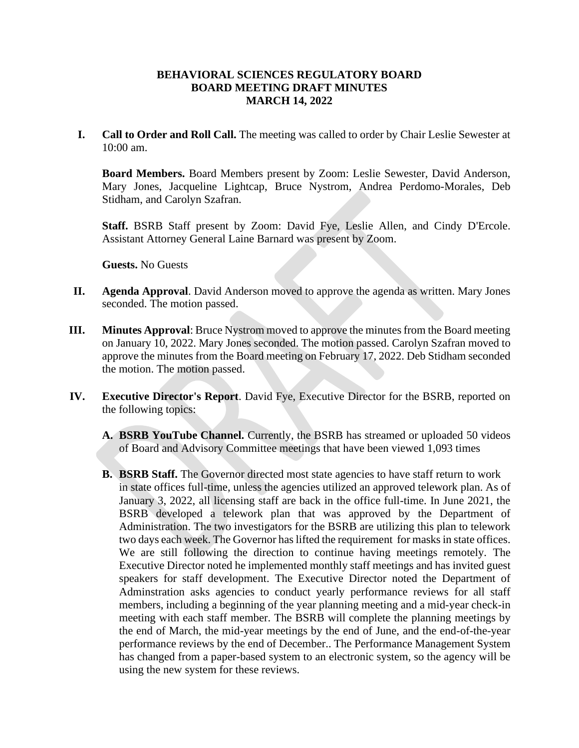# **BEHAVIORAL SCIENCES REGULATORY BOARD BOARD MEETING DRAFT MINUTES MARCH 14, 2022**

**I. Call to Order and Roll Call.** The meeting was called to order by Chair Leslie Sewester at 10:00 am.

**Board Members.** Board Members present by Zoom: Leslie Sewester, David Anderson, Mary Jones, Jacqueline Lightcap, Bruce Nystrom, Andrea Perdomo-Morales, Deb Stidham, and Carolyn Szafran.

**Staff.** BSRB Staff present by Zoom: David Fye, Leslie Allen, and Cindy D'Ercole. Assistant Attorney General Laine Barnard was present by Zoom.

**Guests.** No Guests

- **II. Agenda Approval**. David Anderson moved to approve the agenda as written. Mary Jones seconded. The motion passed.
- **III. Minutes Approval**: Bruce Nystrom moved to approve the minutes from the Board meeting on January 10, 2022. Mary Jones seconded. The motion passed. Carolyn Szafran moved to approve the minutes from the Board meeting on February 17, 2022. Deb Stidham seconded the motion. The motion passed.
- **IV. Executive Director's Report**. David Fye, Executive Director for the BSRB, reported on the following topics:
	- **A. BSRB YouTube Channel.** Currently, the BSRB has streamed or uploaded 50 videos of Board and Advisory Committee meetings that have been viewed 1,093 times
	- **B. BSRB Staff.** The Governor directed most state agencies to have staff return to work in state offices full-time, unless the agencies utilized an approved telework plan. As of January 3, 2022, all licensing staff are back in the office full-time. In June 2021, the BSRB developed a telework plan that was approved by the Department of Administration. The two investigators for the BSRB are utilizing this plan to telework two days each week. The Governor has lifted the requirement for masks in state offices. We are still following the direction to continue having meetings remotely. The Executive Director noted he implemented monthly staff meetings and has invited guest speakers for staff development. The Executive Director noted the Department of Adminstration asks agencies to conduct yearly performance reviews for all staff members, including a beginning of the year planning meeting and a mid-year check-in meeting with each staff member. The BSRB will complete the planning meetings by the end of March, the mid-year meetings by the end of June, and the end-of-the-year performance reviews by the end of December.. The Performance Management System has changed from a paper-based system to an electronic system, so the agency will be using the new system for these reviews.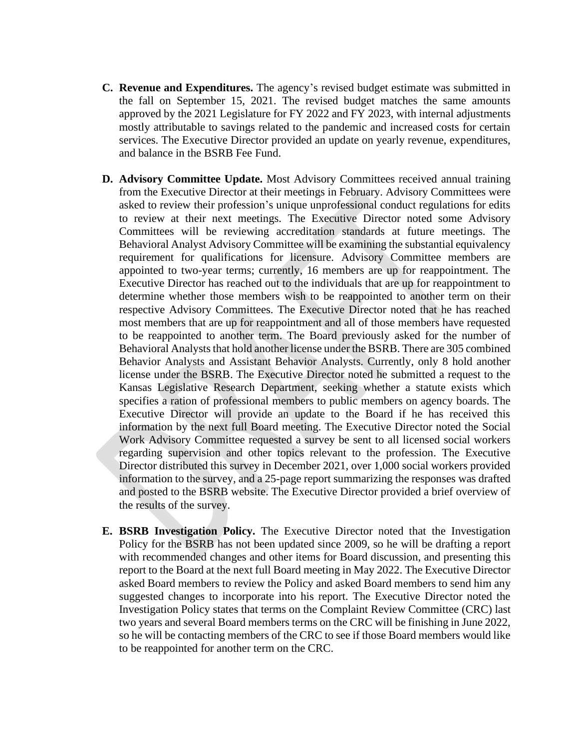- **C. Revenue and Expenditures.** The agency's revised budget estimate was submitted in the fall on September 15, 2021. The revised budget matches the same amounts approved by the 2021 Legislature for FY 2022 and FY 2023, with internal adjustments mostly attributable to savings related to the pandemic and increased costs for certain services. The Executive Director provided an update on yearly revenue, expenditures, and balance in the BSRB Fee Fund.
- **D. Advisory Committee Update.** Most Advisory Committees received annual training from the Executive Director at their meetings in February. Advisory Committees were asked to review their profession's unique unprofessional conduct regulations for edits to review at their next meetings. The Executive Director noted some Advisory Committees will be reviewing accreditation standards at future meetings. The Behavioral Analyst Advisory Committee will be examining the substantial equivalency requirement for qualifications for licensure. Advisory Committee members are appointed to two-year terms; currently, 16 members are up for reappointment. The Executive Director has reached out to the individuals that are up for reappointment to determine whether those members wish to be reappointed to another term on their respective Advisory Committees. The Executive Director noted that he has reached most members that are up for reappointment and all of those members have requested to be reappointed to another term. The Board previously asked for the number of Behavioral Analysts that hold another license under the BSRB. There are 305 combined Behavior Analysts and Assistant Behavior Analysts. Currently, only 8 hold another license under the BSRB. The Executive Director noted he submitted a request to the Kansas Legislative Research Department, seeking whether a statute exists which specifies a ration of professional members to public members on agency boards. The Executive Director will provide an update to the Board if he has received this information by the next full Board meeting. The Executive Director noted the Social Work Advisory Committee requested a survey be sent to all licensed social workers regarding supervision and other topics relevant to the profession. The Executive Director distributed this survey in December 2021, over 1,000 social workers provided information to the survey, and a 25-page report summarizing the responses was drafted and posted to the BSRB website. The Executive Director provided a brief overview of the results of the survey.
- **E. BSRB Investigation Policy.** The Executive Director noted that the Investigation Policy for the BSRB has not been updated since 2009, so he will be drafting a report with recommended changes and other items for Board discussion, and presenting this report to the Board at the next full Board meeting in May 2022. The Executive Director asked Board members to review the Policy and asked Board members to send him any suggested changes to incorporate into his report. The Executive Director noted the Investigation Policy states that terms on the Complaint Review Committee (CRC) last two years and several Board members terms on the CRC will be finishing in June 2022, so he will be contacting members of the CRC to see if those Board members would like to be reappointed for another term on the CRC.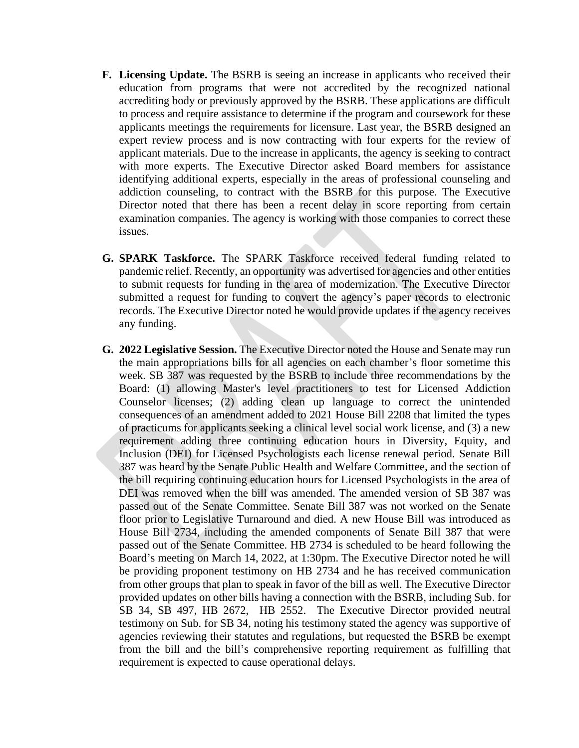- **F. Licensing Update.** The BSRB is seeing an increase in applicants who received their education from programs that were not accredited by the recognized national accrediting body or previously approved by the BSRB. These applications are difficult to process and require assistance to determine if the program and coursework for these applicants meetings the requirements for licensure. Last year, the BSRB designed an expert review process and is now contracting with four experts for the review of applicant materials. Due to the increase in applicants, the agency is seeking to contract with more experts. The Executive Director asked Board members for assistance identifying additional experts, especially in the areas of professional counseling and addiction counseling, to contract with the BSRB for this purpose. The Executive Director noted that there has been a recent delay in score reporting from certain examination companies. The agency is working with those companies to correct these issues.
- **G. SPARK Taskforce.** The SPARK Taskforce received federal funding related to pandemic relief. Recently, an opportunity was advertised for agencies and other entities to submit requests for funding in the area of modernization. The Executive Director submitted a request for funding to convert the agency's paper records to electronic records. The Executive Director noted he would provide updates if the agency receives any funding.
- **G. 2022 Legislative Session.** The Executive Director noted the House and Senate may run the main appropriations bills for all agencies on each chamber's floor sometime this week. SB 387 was requested by the BSRB to include three recommendations by the Board: (1) allowing Master's level practitioners to test for Licensed Addiction Counselor licenses; (2) adding clean up language to correct the unintended consequences of an amendment added to 2021 House Bill 2208 that limited the types of practicums for applicants seeking a clinical level social work license, and (3) a new requirement adding three continuing education hours in Diversity, Equity, and Inclusion (DEI) for Licensed Psychologists each license renewal period. Senate Bill 387 was heard by the Senate Public Health and Welfare Committee, and the section of the bill requiring continuing education hours for Licensed Psychologists in the area of DEI was removed when the bill was amended. The amended version of SB 387 was passed out of the Senate Committee. Senate Bill 387 was not worked on the Senate floor prior to Legislative Turnaround and died. A new House Bill was introduced as House Bill 2734, including the amended components of Senate Bill 387 that were passed out of the Senate Committee. HB 2734 is scheduled to be heard following the Board's meeting on March 14, 2022, at 1:30pm. The Executive Director noted he will be providing proponent testimony on HB 2734 and he has received communication from other groups that plan to speak in favor of the bill as well. The Executive Director provided updates on other bills having a connection with the BSRB, including Sub. for SB 34, SB 497, HB 2672, HB 2552. The Executive Director provided neutral testimony on Sub. for SB 34, noting his testimony stated the agency was supportive of agencies reviewing their statutes and regulations, but requested the BSRB be exempt from the bill and the bill's comprehensive reporting requirement as fulfilling that requirement is expected to cause operational delays.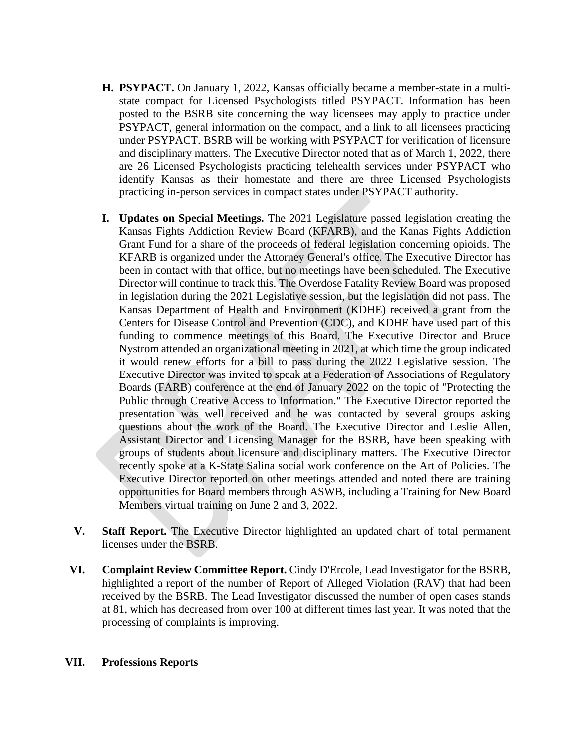- **H. PSYPACT.** On January 1, 2022, Kansas officially became a member-state in a multistate compact for Licensed Psychologists titled PSYPACT. Information has been posted to the BSRB site concerning the way licensees may apply to practice under PSYPACT, general information on the compact, and a link to all licensees practicing under PSYPACT. BSRB will be working with PSYPACT for verification of licensure and disciplinary matters. The Executive Director noted that as of March 1, 2022, there are 26 Licensed Psychologists practicing telehealth services under PSYPACT who identify Kansas as their homestate and there are three Licensed Psychologists practicing in-person services in compact states under PSYPACT authority.
- **I. Updates on Special Meetings.** The 2021 Legislature passed legislation creating the Kansas Fights Addiction Review Board (KFARB), and the Kanas Fights Addiction Grant Fund for a share of the proceeds of federal legislation concerning opioids. The KFARB is organized under the Attorney General's office. The Executive Director has been in contact with that office, but no meetings have been scheduled. The Executive Director will continue to track this. The Overdose Fatality Review Board was proposed in legislation during the 2021 Legislative session, but the legislation did not pass. The Kansas Department of Health and Environment (KDHE) received a grant from the Centers for Disease Control and Prevention (CDC), and KDHE have used part of this funding to commence meetings of this Board. The Executive Director and Bruce Nystrom attended an organizational meeting in 2021, at which time the group indicated it would renew efforts for a bill to pass during the 2022 Legislative session. The Executive Director was invited to speak at a Federation of Associations of Regulatory Boards (FARB) conference at the end of January 2022 on the topic of "Protecting the Public through Creative Access to Information." The Executive Director reported the presentation was well received and he was contacted by several groups asking questions about the work of the Board. The Executive Director and Leslie Allen, Assistant Director and Licensing Manager for the BSRB, have been speaking with groups of students about licensure and disciplinary matters. The Executive Director recently spoke at a K-State Salina social work conference on the Art of Policies. The Executive Director reported on other meetings attended and noted there are training opportunities for Board members through ASWB, including a Training for New Board Members virtual training on June 2 and 3, 2022.
- **V. Staff Report.** The Executive Director highlighted an updated chart of total permanent licenses under the BSRB.
- **VI. Complaint Review Committee Report.** Cindy D'Ercole, Lead Investigator for the BSRB, highlighted a report of the number of Report of Alleged Violation (RAV) that had been received by the BSRB. The Lead Investigator discussed the number of open cases stands at 81, which has decreased from over 100 at different times last year. It was noted that the processing of complaints is improving.

#### **VII. Professions Reports**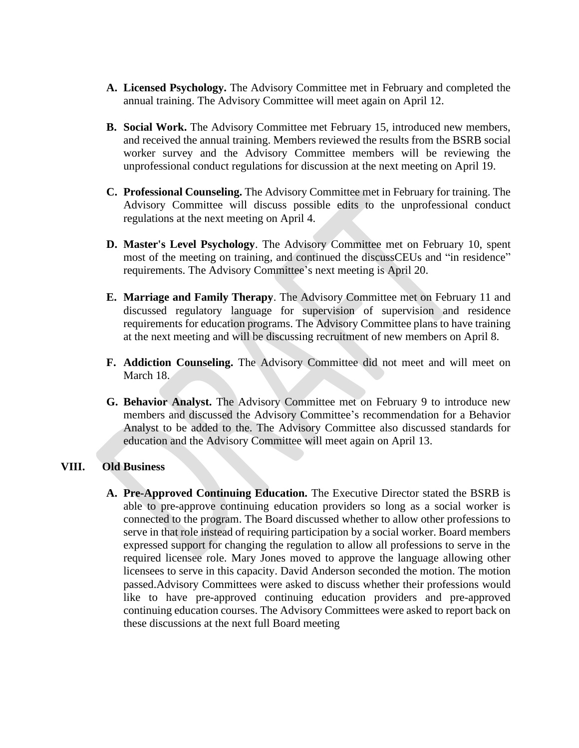- **A. Licensed Psychology.** The Advisory Committee met in February and completed the annual training. The Advisory Committee will meet again on April 12.
- **B. Social Work.** The Advisory Committee met February 15, introduced new members, and received the annual training. Members reviewed the results from the BSRB social worker survey and the Advisory Committee members will be reviewing the unprofessional conduct regulations for discussion at the next meeting on April 19.
- **C. Professional Counseling.** The Advisory Committee met in February for training. The Advisory Committee will discuss possible edits to the unprofessional conduct regulations at the next meeting on April 4.
- **D. Master's Level Psychology**. The Advisory Committee met on February 10, spent most of the meeting on training, and continued the discussCEUs and "in residence" requirements. The Advisory Committee's next meeting is April 20.
- **E. Marriage and Family Therapy**. The Advisory Committee met on February 11 and discussed regulatory language for supervision of supervision and residence requirements for education programs. The Advisory Committee plans to have training at the next meeting and will be discussing recruitment of new members on April 8.
- **F. Addiction Counseling.** The Advisory Committee did not meet and will meet on March 18.
- **G. Behavior Analyst.** The Advisory Committee met on February 9 to introduce new members and discussed the Advisory Committee's recommendation for a Behavior Analyst to be added to the. The Advisory Committee also discussed standards for education and the Advisory Committee will meet again on April 13.

### **VIII. Old Business**

**A. Pre-Approved Continuing Education.** The Executive Director stated the BSRB is able to pre-approve continuing education providers so long as a social worker is connected to the program. The Board discussed whether to allow other professions to serve in that role instead of requiring participation by a social worker. Board members expressed support for changing the regulation to allow all professions to serve in the required licensee role. Mary Jones moved to approve the language allowing other licensees to serve in this capacity. David Anderson seconded the motion. The motion passed.Advisory Committees were asked to discuss whether their professions would like to have pre-approved continuing education providers and pre-approved continuing education courses. The Advisory Committees were asked to report back on these discussions at the next full Board meeting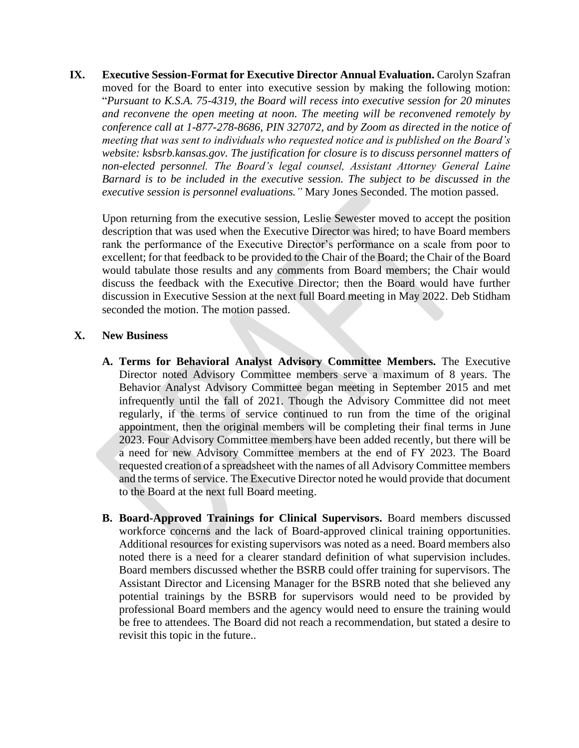**IX. Executive Session-Format for Executive Director Annual Evaluation.** Carolyn Szafran moved for the Board to enter into executive session by making the following motion: "*Pursuant to K.S.A. 75-4319, the Board will recess into executive session for 20 minutes and reconvene the open meeting at noon. The meeting will be reconvened remotely by conference call at 1-877-278-8686, PIN 327072, and by Zoom as directed in the notice of meeting that was sent to individuals who requested notice and is published on the Board's website: ksbsrb.kansas.gov. The justification for closure is to discuss personnel matters of non-elected personnel. The Board's legal counsel, Assistant Attorney General Laine Barnard is to be included in the executive session. The subject to be discussed in the executive session is personnel evaluations."* Mary Jones Seconded. The motion passed.

Upon returning from the executive session, Leslie Sewester moved to accept the position description that was used when the Executive Director was hired; to have Board members rank the performance of the Executive Director's performance on a scale from poor to excellent; for that feedback to be provided to the Chair of the Board; the Chair of the Board would tabulate those results and any comments from Board members; the Chair would discuss the feedback with the Executive Director; then the Board would have further discussion in Executive Session at the next full Board meeting in May 2022. Deb Stidham seconded the motion. The motion passed.

# **X. New Business**

- **A. Terms for Behavioral Analyst Advisory Committee Members.** The Executive Director noted Advisory Committee members serve a maximum of 8 years. The Behavior Analyst Advisory Committee began meeting in September 2015 and met infrequently until the fall of 2021. Though the Advisory Committee did not meet regularly, if the terms of service continued to run from the time of the original appointment, then the original members will be completing their final terms in June 2023. Four Advisory Committee members have been added recently, but there will be a need for new Advisory Committee members at the end of FY 2023. The Board requested creation of a spreadsheet with the names of all Advisory Committee members and the terms of service. The Executive Director noted he would provide that document to the Board at the next full Board meeting.
- **B. Board-Approved Trainings for Clinical Supervisors.** Board members discussed workforce concerns and the lack of Board-approved clinical training opportunities. Additional resources for existing supervisors was noted as a need. Board members also noted there is a need for a clearer standard definition of what supervision includes. Board members discussed whether the BSRB could offer training for supervisors. The Assistant Director and Licensing Manager for the BSRB noted that she believed any potential trainings by the BSRB for supervisors would need to be provided by professional Board members and the agency would need to ensure the training would be free to attendees. The Board did not reach a recommendation, but stated a desire to revisit this topic in the future..